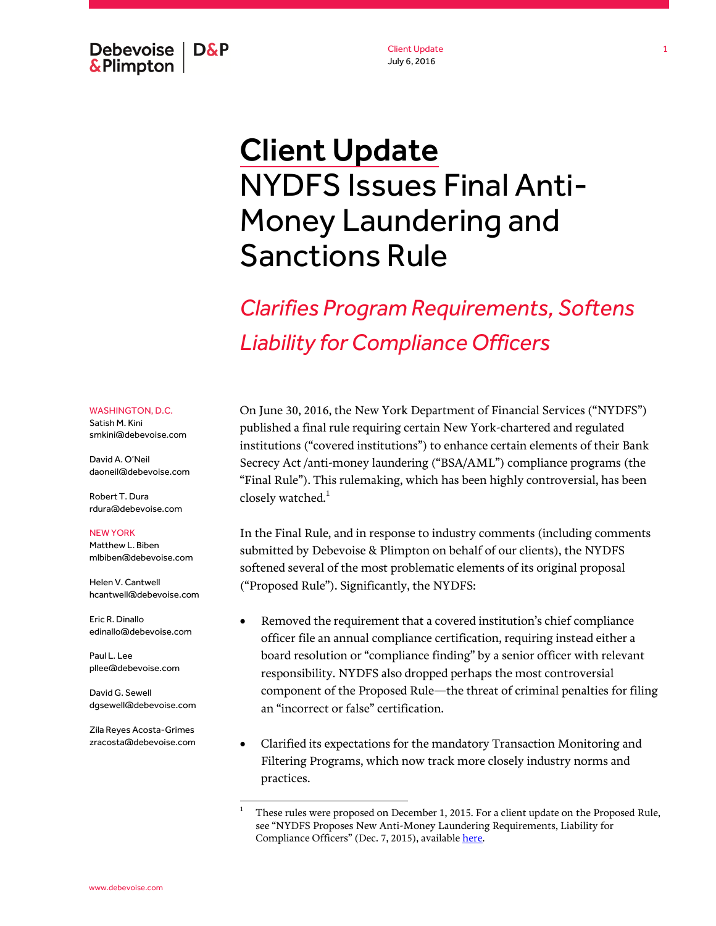Debevoise  $\overline{ }$  D&P **&Plimpton** 

Client Update July 6, 2016

# Client Update NYDFS Issues Final Anti-Money Laundering and Sanctions Rule

*Clarifies Program Requirements, Softens Liability for Compliance Officers*

WASHINGTON, D.C.

Satish M. Kini smkini@debevoise.com

David A. O'Neil daoneil@debevoise.com

Robert T. Dura rdura@debevoise.com

#### NEW YORK

Matthew L. Biben mlbiben@debevoise.com

Helen V. Cantwell hcantwell@debevoise.com

Eric R. Dinallo edinallo@debevoise.com

Paul L. Lee pllee@debevoise.com

David G. Sewell dgsewell@debevoise.com

Zila Reyes Acosta-Grimes zracosta@debevoise.com

l

On June 30, 2016, the New York Department of Financial Services ("NYDFS") published a final rule requiring certain New York-chartered and regulated institutions ("covered institutions") to enhance certain elements of their Bank Secrecy Act /anti-money laundering ("BSA/AML") compliance programs (the "Final Rule"). This rulemaking, which has been highly controversial, has been closely watched. $<sup>1</sup>$ </sup>

In the Final Rule, and in response to industry comments (including comments submitted by Debevoise & Plimpton on behalf of our clients), the NYDFS softened several of the most problematic elements of its original proposal ("Proposed Rule"). Significantly, the NYDFS:

- Removed the requirement that a covered institution's chief compliance officer file an annual compliance certification, requiring instead either a board resolution or "compliance finding" by a senior officer with relevant responsibility. NYDFS also dropped perhaps the most controversial component of the Proposed Rule—the threat of criminal penalties for filing an "incorrect or false" certification.
- Clarified its expectations for the mandatory Transaction Monitoring and Filtering Programs, which now track more closely industry norms and practices.

<sup>1</sup> These rules were proposed on December 1, 2015. For a client update on the Proposed Rule, see "NYDFS Proposes New Anti-Money Laundering Requirements, Liability for Compliance Officers" (Dec. 7, 2015), available here.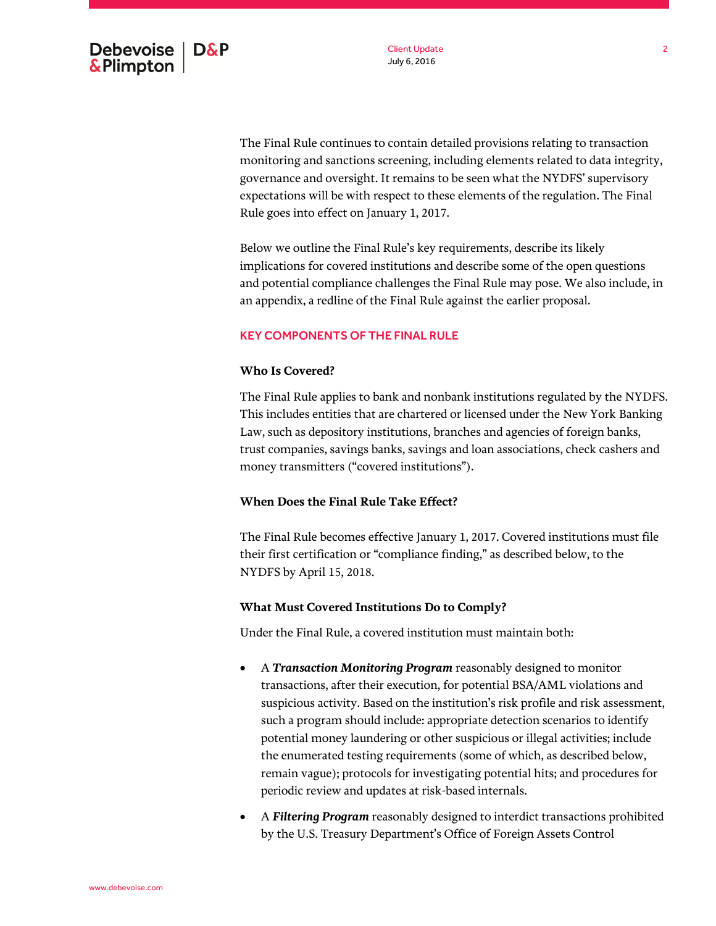The Final Rule continues to contain detailed provisions relating to transaction monitoring and sanctions screening, including elements related to data integrity, governance and oversight. It remains to be seen what the NYDFS' supervisory expectations will be with respect to these elements of the regulation. The Final Rule goes into effect on January 1, 2017.

Below we outline the Final Rule's key requirements, describe its likely implications for covered institutions and describe some of the open questions and potential compliance challenges the Final Rule may pose. We also include, in an appendix, a redline of the Final Rule against the earlier proposal.

# KEY COMPONENTS OF THE FINAL RULE

# **Who Is Covered?**

The Final Rule applies to bank and nonbank institutions regulated by the NYDFS. This includes entities that are chartered or licensed under the New York Banking Law, such as depository institutions, branches and agencies of foreign banks, trust companies, savings banks, savings and loan associations, check cashers and money transmitters ("covered institutions").

# **When Does the Final Rule Take Effect?**

The Final Rule becomes effective January 1, 2017. Covered institutions must file their first certification or "compliance finding," as described below, to the NYDFS by April 15, 2018.

# **What Must Covered Institutions Do to Comply?**

Under the Final Rule, a covered institution must maintain both:

- A *Transaction Monitoring Program* reasonably designed to monitor transactions, after their execution, for potential BSA/AML violations and suspicious activity. Based on the institution's risk profile and risk assessment, such a program should include: appropriate detection scenarios to identify potential money laundering or other suspicious or illegal activities; include the enumerated testing requirements (some of which, as described below, remain vague); protocols for investigating potential hits; and procedures for periodic review and updates at risk-based internals.
- A *Filtering Program* reasonably designed to interdict transactions prohibited by the U.S. Treasury Department's Office of Foreign Assets Control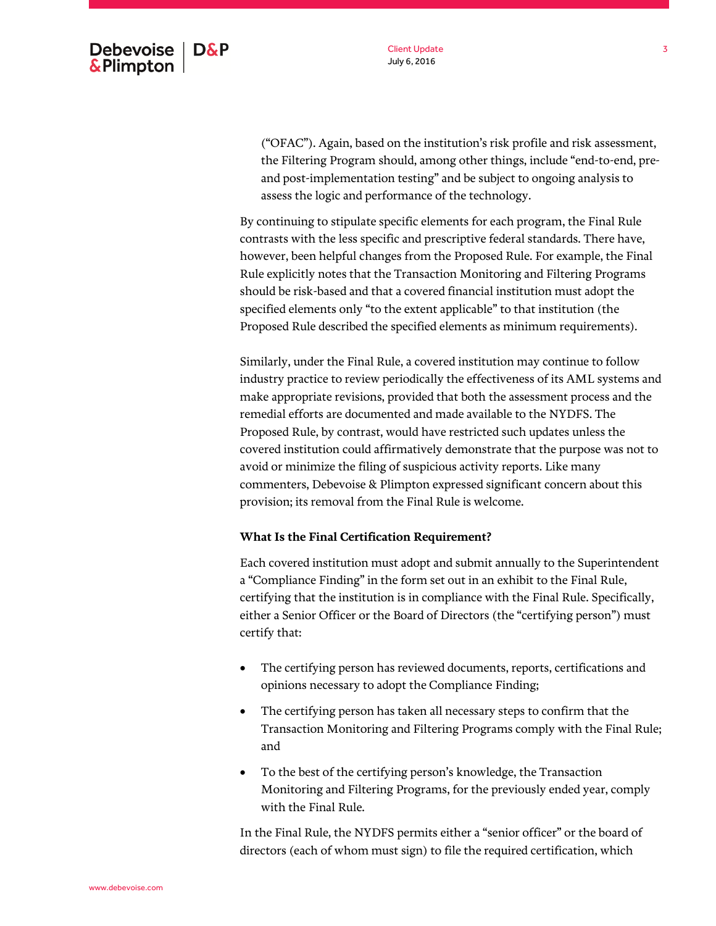Client Update July 6, 2016

("OFAC"). Again, based on the institution's risk profile and risk assessment, the Filtering Program should, among other things, include "end-to-end, preand post-implementation testing" and be subject to ongoing analysis to assess the logic and performance of the technology.

By continuing to stipulate specific elements for each program, the Final Rule contrasts with the less specific and prescriptive federal standards. There have, however, been helpful changes from the Proposed Rule. For example, the Final Rule explicitly notes that the Transaction Monitoring and Filtering Programs should be risk-based and that a covered financial institution must adopt the specified elements only "to the extent applicable" to that institution (the Proposed Rule described the specified elements as minimum requirements).

Similarly, under the Final Rule, a covered institution may continue to follow industry practice to review periodically the effectiveness of its AML systems and make appropriate revisions, provided that both the assessment process and the remedial efforts are documented and made available to the NYDFS. The Proposed Rule, by contrast, would have restricted such updates unless the covered institution could affirmatively demonstrate that the purpose was not to avoid or minimize the filing of suspicious activity reports. Like many commenters, Debevoise & Plimpton expressed significant concern about this provision; its removal from the Final Rule is welcome.

# **What Is the Final Certification Requirement?**

Each covered institution must adopt and submit annually to the Superintendent a "Compliance Finding" in the form set out in an exhibit to the Final Rule, certifying that the institution is in compliance with the Final Rule. Specifically, either a Senior Officer or the Board of Directors (the "certifying person") must certify that:

- The certifying person has reviewed documents, reports, certifications and opinions necessary to adopt the Compliance Finding;
- The certifying person has taken all necessary steps to confirm that the Transaction Monitoring and Filtering Programs comply with the Final Rule; and
- To the best of the certifying person's knowledge, the Transaction Monitoring and Filtering Programs, for the previously ended year, comply with the Final Rule.

In the Final Rule, the NYDFS permits either a "senior officer" or the board of directors (each of whom must sign) to file the required certification, which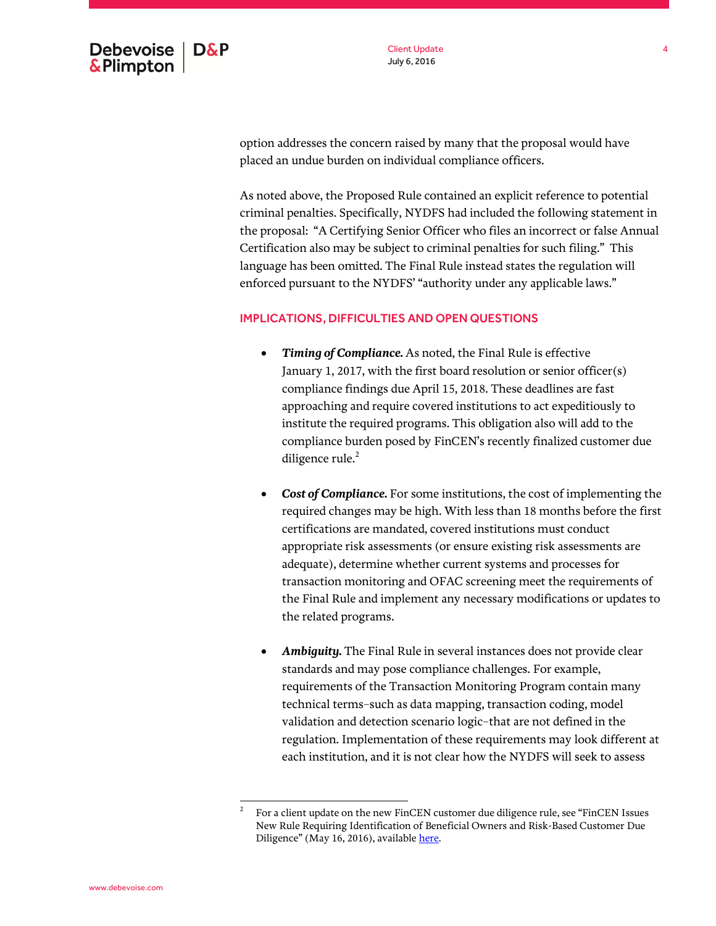Client Update July 6, 2016

option addresses the concern raised by many that the proposal would have placed an undue burden on individual compliance officers.

As noted above, the Proposed Rule contained an explicit reference to potential criminal penalties. Specifically, NYDFS had included the following statement in the proposal: "A Certifying Senior Officer who files an incorrect or false Annual Certification also may be subject to criminal penalties for such filing." This language has been omitted. The Final Rule instead states the regulation will enforced pursuant to the NYDFS' "authority under any applicable laws."

## IMPLICATIONS, DIFFICULTIES AND OPEN QUESTIONS

- *Timing of Compliance.* As noted, the Final Rule is effective January 1, 2017, with the first board resolution or senior officer(s) compliance findings due April 15, 2018. These deadlines are fast approaching and require covered institutions to act expeditiously to institute the required programs. This obligation also will add to the compliance burden posed by FinCEN's recently finalized customer due diligence rule. $2$
- *Cost of Compliance.* For some institutions, the cost of implementing the required changes may be high. With less than 18 months before the first certifications are mandated, covered institutions must conduct appropriate risk assessments (or ensure existing risk assessments are adequate), determine whether current systems and processes for transaction monitoring and OFAC screening meet the requirements of the Final Rule and implement any necessary modifications or updates to the related programs.
- *Ambiguity.* The Final Rule in several instances does not provide clear standards and may pose compliance challenges. For example, requirements of the Transaction Monitoring Program contain many technical terms–such as data mapping, transaction coding, model validation and detection scenario logic–that are not defined in the regulation. Implementation of these requirements may look different at each institution, and it is not clear how the NYDFS will seek to assess

l 2 For a client update on the new FinCEN customer due diligence rule, see "FinCEN Issues New Rule Requiring Identification of Beneficial Owners and Risk-Based Customer Due Diligence" (May 16, 2016), availabl[e here.](http://www.debevoise.com/insights/publications/2016/05/fincen-issues-new-rule-requiring-identification)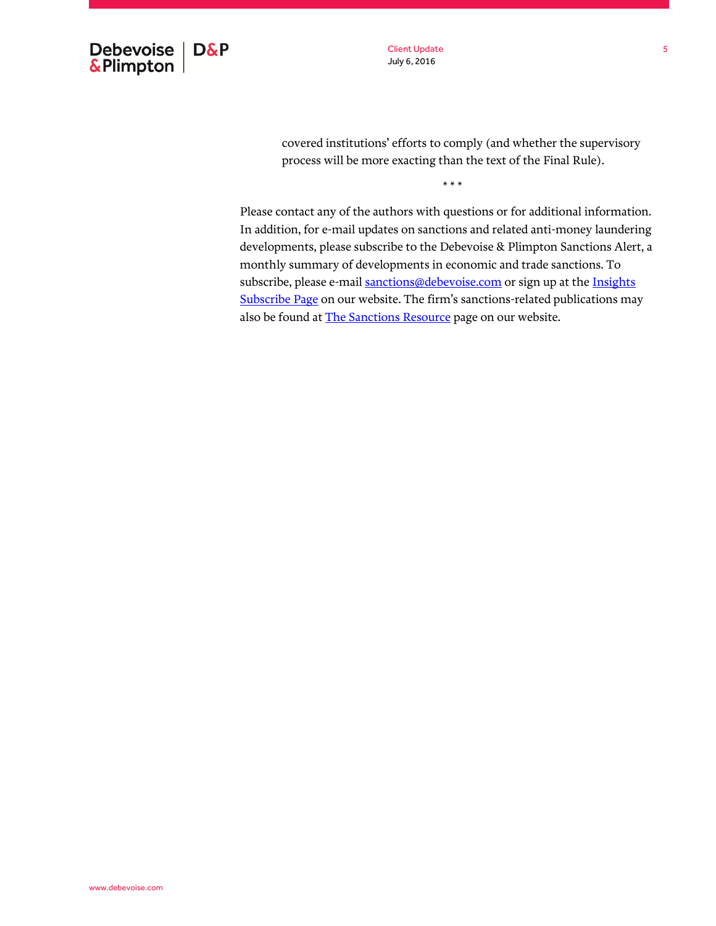

Client Update July 6, 2016

covered institutions' efforts to comply (and whether the supervisory process will be more exacting than the text of the Final Rule).

\* \* \*

Please contact any of the authors with questions or for additional information. In addition, for e-mail updates on sanctions and related anti-money laundering developments, please subscribe to the Debevoise & Plimpton Sanctions Alert, a monthly summary of developments in economic and trade sanctions. To subscribe, please e-mai[l sanctions@debevoise.com](mailto:sanctions@debevoise.com?subject=Please%20subscribe%20me%20to%20the%20Sanctions%20Alert) or sign up at the Insights [Subscribe Page](http://www.debevoise.com/insights/insights-subscribe-page) on our website. The firm's sanctions-related publications may also be found at [The Sanctions Resource](http://www.debevoise.com/thesanctionsresource) page on our website.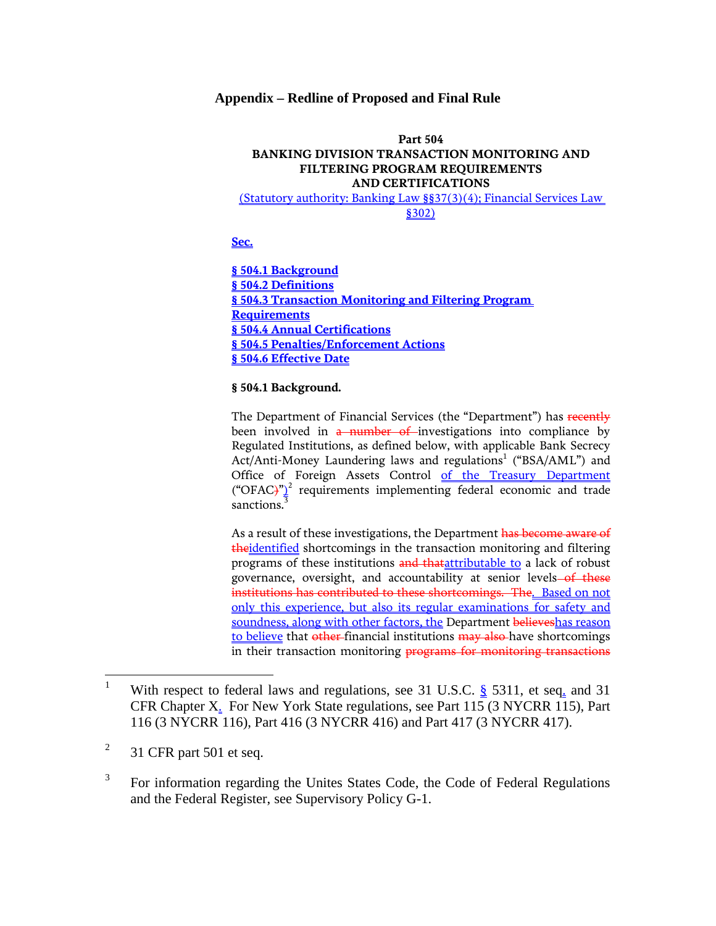## **Appendix – Redline of Proposed and Final Rule**

# **Part 504 BANKING DIVISION TRANSACTION MONITORING AND FILTERING PROGRAM REQUIREMENTS AND CERTIFICATIONS**

(Statutory authority: Banking Law §§37(3)(4); Financial Services Law §302)

**Sec.**

**§ 504.1 Background § 504.2 Definitions § 504.3 Transaction Monitoring and Filtering Program Requirements § 504.4 Annual Certifications § 504.5 Penalties/Enforcement Actions § 504.6 Effective Date**

## **§ 504.1 Background.**

The Department of Financial Services (the "Department") has recently been involved in a number of investigations into compliance by Regulated Institutions, as defined below, with applicable Bank Secrecy Act/Anti-Money Laundering laws and regulations<sup>1</sup> ("BSA/AML") and Office of Foreign Assets Control of the Treasury Department ("OFAC $y''$ <sup>2</sup> requirements implementing federal economic and trade sanctions.<sup>3</sup>

As a result of these investigations, the Department has become aware of theidentified shortcomings in the transaction monitoring and filtering programs of these institutions and thatattributable to a lack of robust governance, oversight, and accountability at senior levels-of these institutions has contributed to these shortcomings. The. Based on not only this experience, but also its regular examinations for safety and soundness, along with other factors, the Department believeshas reason to believe that other-financial institutions may also have shortcomings in their transaction monitoring programs for monitoring transactions

<sup>&</sup>lt;sup>1</sup> With respect to federal laws and regulations, see 31 U.S.C.  $\frac{8}{3}$  5311, et seq. and 31 CFR Chapter X. For New York State regulations, see Part 115 (3 NYCRR 115), Part 116 (3 NYCRR 116), Part 416 (3 NYCRR 416) and Part 417 (3 NYCRR 417).

<sup>2</sup> 31 CFR part 501 et seq.

<sup>3</sup> For information regarding the Unites States Code, the Code of Federal Regulations and the Federal Register, see Supervisory Policy G-1.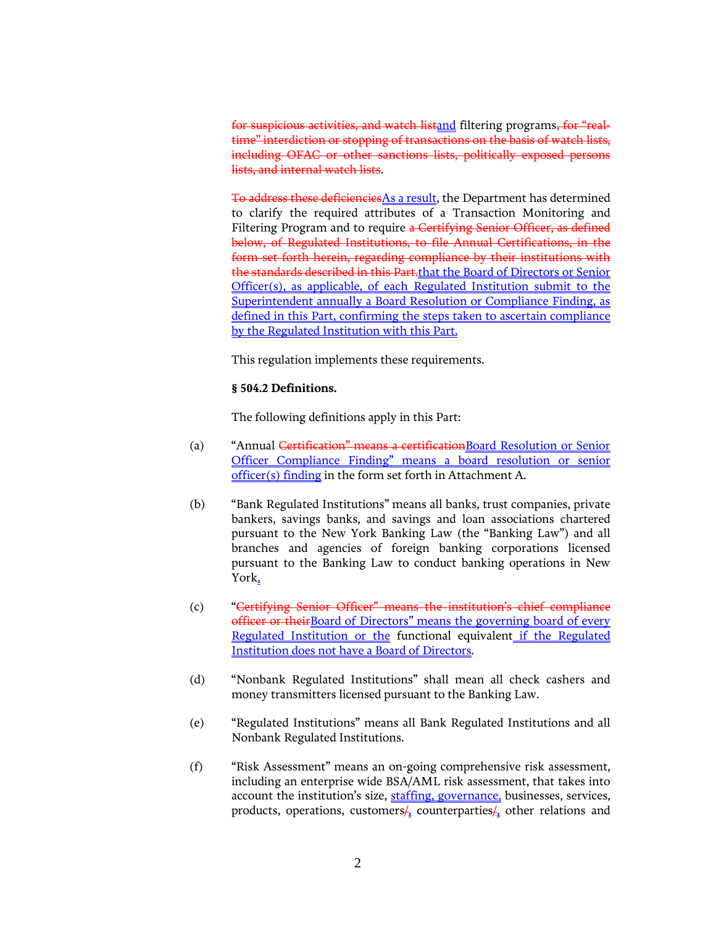for suspicious activities, and watch listand filtering programs, for "realtime" interdiction or stopping of transactions on the basis of watch lists, including OFAC or other sanctions lists, politically exposed persons lists, and internal watch lists.

To address these deficienciesAs a result, the Department has determined to clarify the required attributes of a Transaction Monitoring and Filtering Program and to require a Certifying Senior Officer, as defined below, of Regulated Institutions, to file Annual Certifications, in the form set forth herein, regarding compliance by their institutions with the standards described in this Part.that the Board of Directors or Senior Officer(s), as applicable, of each Regulated Institution submit to the Superintendent annually a Board Resolution or Compliance Finding, as defined in this Part, confirming the steps taken to ascertain compliance by the Regulated Institution with this Part.

This regulation implements these requirements.

## **§ 504.2 Definitions.**

The following definitions apply in this Part:

- (a) "Annual Certification" means a certificationBoard Resolution or Senior Officer Compliance Finding" means a board resolution or senior officer(s) finding in the form set forth in Attachment A.
- (b) "Bank Regulated Institutions" means all banks, trust companies, private bankers, savings banks, and savings and loan associations chartered pursuant to the New York Banking Law (the "Banking Law") and all branches and agencies of foreign banking corporations licensed pursuant to the Banking Law to conduct banking operations in New York.
- (c) "Certifying Senior Officer" means the institution's chief compliance officer or theirBoard of Directors" means the governing board of every Regulated Institution or the functional equivalent if the Regulated Institution does not have a Board of Directors.
- (d) "Nonbank Regulated Institutions" shall mean all check cashers and money transmitters licensed pursuant to the Banking Law.
- (e) "Regulated Institutions" means all Bank Regulated Institutions and all Nonbank Regulated Institutions.
- (f) "Risk Assessment" means an on-going comprehensive risk assessment, including an enterprise wide BSA/AML risk assessment, that takes into account the institution's size, staffing, governance, businesses, services, products, operations, customers $/$ , counterparties $/$ , other relations and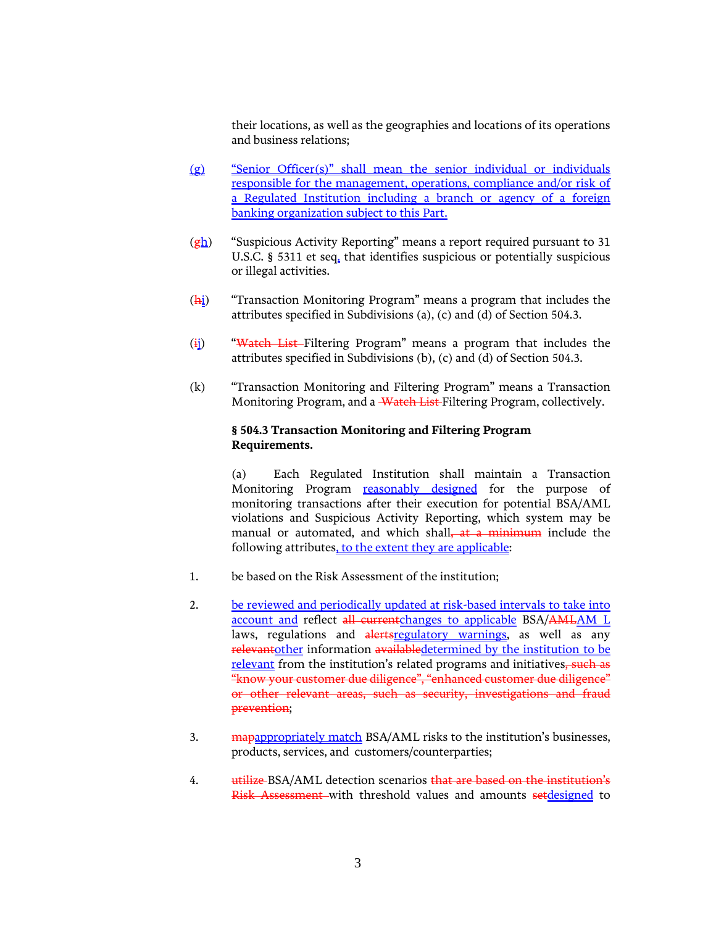their locations, as well as the geographies and locations of its operations and business relations;

- (g) "Senior Officer(s)" shall mean the senior individual or individuals responsible for the management, operations, compliance and/or risk of a Regulated Institution including a branch or agency of a foreign banking organization subject to this Part.
- $(g_h)$  "Suspicious Activity Reporting" means a report required pursuant to 31 U.S.C. § 5311 et seq. that identifies suspicious or potentially suspicious or illegal activities.
- $(\frac{h_i}{h_i})$  "Transaction Monitoring Program" means a program that includes the attributes specified in Subdivisions (a), (c) and (d) of Section 504.3.
- $(i)$  "Watch List-Filtering Program" means a program that includes the attributes specified in Subdivisions (b), (c) and (d) of Section 504.3.
- (k) "Transaction Monitoring and Filtering Program" means a Transaction Monitoring Program, and a Watch List Filtering Program, collectively.

## **§ 504.3 Transaction Monitoring and Filtering Program Requirements.**

(a) Each Regulated Institution shall maintain a Transaction Monitoring Program reasonably designed for the purpose of monitoring transactions after their execution for potential BSA/AML violations and Suspicious Activity Reporting, which system may be manual or automated, and which shall<del>, at a minimum</del> include the following attributes, to the extent they are applicable:

- 1. be based on the Risk Assessment of the institution;
- 2. be reviewed and periodically updated at risk-based intervals to take into account and reflect all currentchanges to applicable BSA/AMLAM L laws, regulations and alertsregulatory warnings, as well as any relevantother information availabledetermined by the institution to be relevant from the institution's related programs and initiatives, such as "know your customer due diligence", "enhanced customer due diligence" or other relevant areas, such as security, investigations and fraud prevention;
- 3. mapappropriately match BSA/AML risks to the institution's businesses, products, services, and customers/counterparties;
- 4. utilize BSA/AML detection scenarios that are based on the institution's Risk Assessment with threshold values and amounts setdesigned to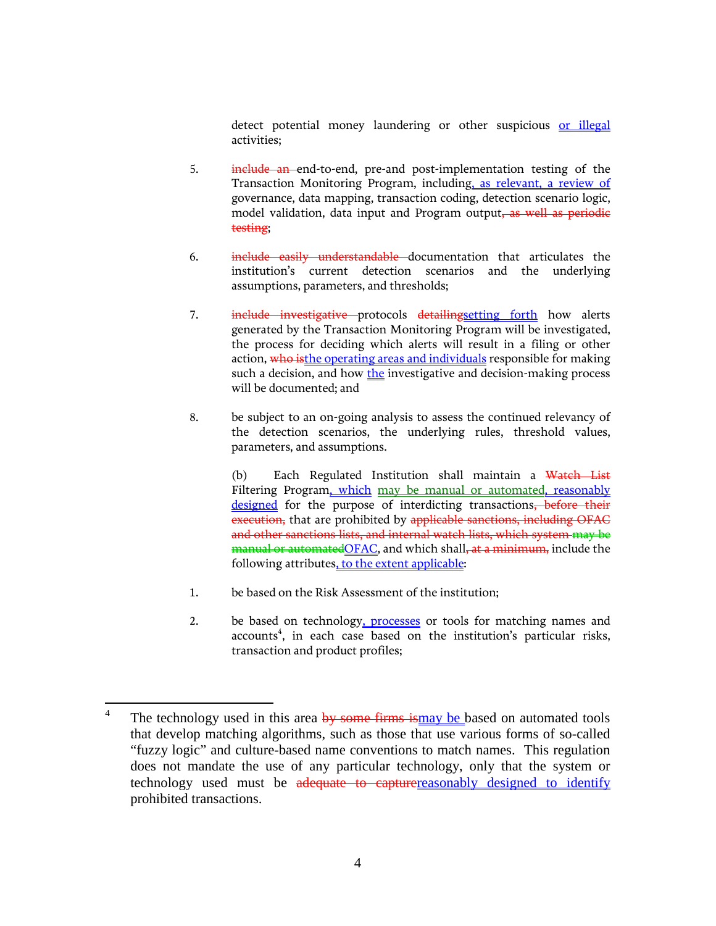detect potential money laundering or other suspicious or illegal activities;

- 5. include an end-to-end, pre-and post-implementation testing of the Transaction Monitoring Program, including, as relevant, a review of governance, data mapping, transaction coding, detection scenario logic, model validation, data input and Program output, as well as periodie testing;
- 6. **include easily understandable** documentation that articulates the institution's current detection scenarios and the underlying assumptions, parameters, and thresholds;
- 7. include investigative protocols detailingsetting forth how alerts generated by the Transaction Monitoring Program will be investigated, the process for deciding which alerts will result in a filing or other action, who isthe operating areas and individuals responsible for making such a decision, and how the investigative and decision-making process will be documented; and
- 8. be subject to an on-going analysis to assess the continued relevancy of the detection scenarios, the underlying rules, threshold values, parameters, and assumptions.

(b) Each Regulated Institution shall maintain a Watch List Filtering Program, which may be manual or automated, reasonably designed for the purpose of interdicting transactions, before their execution, that are prohibited by applicable sanctions, including OFAC and other sanctions lists, and internal watch lists, which system may be manual or automated OFAC, and which shall, at a minimum, include the following attributes, to the extent applicable:

- 1. be based on the Risk Assessment of the institution;
- 2. be based on technology, processes or tools for matching names and accounts<sup>4</sup>, in each case based on the institution's particular risks, transaction and product profiles;

<sup>4</sup> The technology used in this area by some firms ismay be based on automated tools that develop matching algorithms, such as those that use various forms of so-called "fuzzy logic" and culture-based name conventions to match names. This regulation does not mandate the use of any particular technology, only that the system or technology used must be adequate to capture reasonably designed to identify prohibited transactions.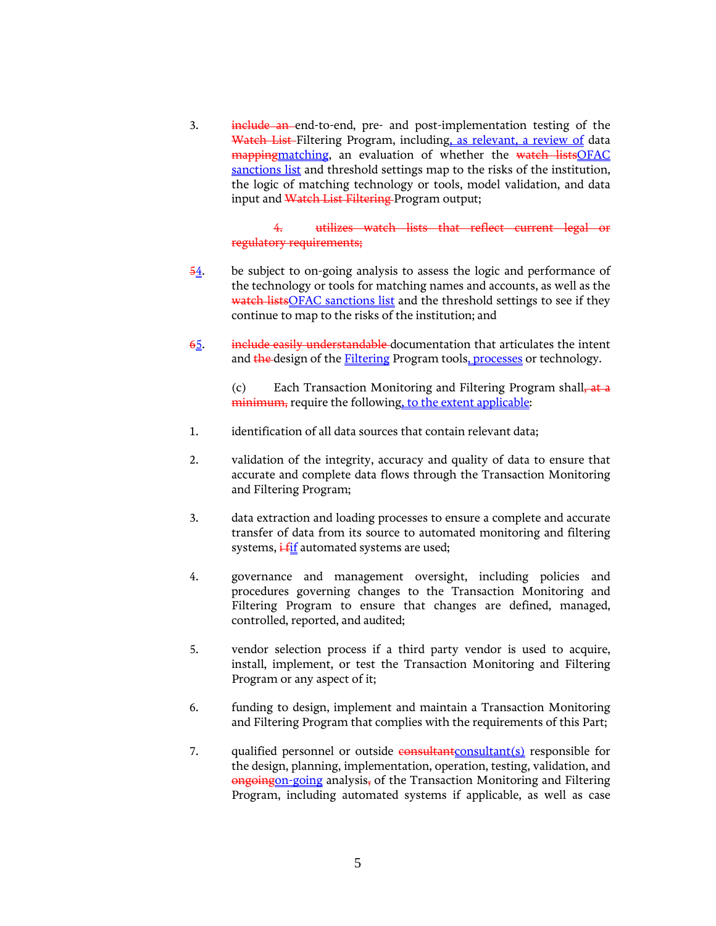3. include an end-to-end, pre- and post-implementation testing of the Watch List-Filtering Program, including, as relevant, a review of data mappingmatching, an evaluation of whether the watch listsOFAC sanctions list and threshold settings map to the risks of the institution, the logic of matching technology or tools, model validation, and data input and Watch List Filtering Program output;

> 4. utilizes watch lists that reflect current legal or regulatory requirements;

- 54. be subject to on-going analysis to assess the logic and performance of the technology or tools for matching names and accounts, as well as the watch listsOFAC sanctions list and the threshold settings to see if they continue to map to the risks of the institution; and
- 65. include easily understandable documentation that articulates the intent and the design of the **Filtering** Program tools, processes or technology.

(c) Each Transaction Monitoring and Filtering Program shall, at a minimum, require the following, to the extent applicable:

- 1. identification of all data sources that contain relevant data;
- 2. validation of the integrity, accuracy and quality of data to ensure that accurate and complete data flows through the Transaction Monitoring and Filtering Program;
- 3. data extraction and loading processes to ensure a complete and accurate transfer of data from its source to automated monitoring and filtering systems,  $\frac{1 + \text{if}}{1 + \text{if}}$  automated systems are used;
- 4. governance and management oversight, including policies and procedures governing changes to the Transaction Monitoring and Filtering Program to ensure that changes are defined, managed, controlled, reported, and audited;
- 5. vendor selection process if a third party vendor is used to acquire, install, implement, or test the Transaction Monitoring and Filtering Program or any aspect of it;
- 6. funding to design, implement and maintain a Transaction Monitoring and Filtering Program that complies with the requirements of this Part;
- 7. qualified personnel or outside consultantconsultant(s) responsible for the design, planning, implementation, operation, testing, validation, and ongoingon-going analysis, of the Transaction Monitoring and Filtering Program, including automated systems if applicable, as well as case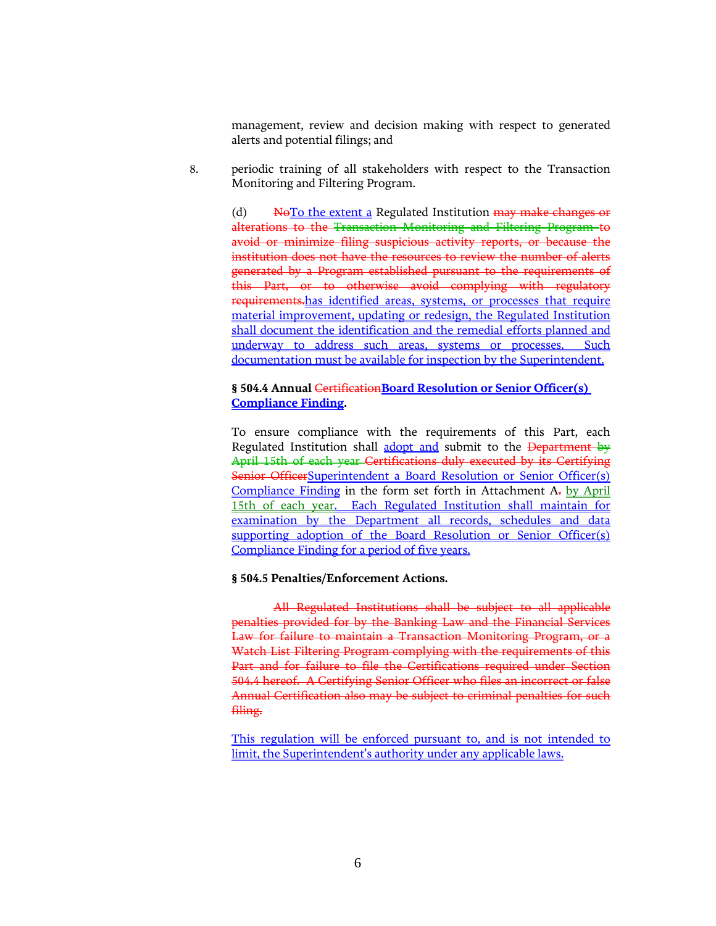management, review and decision making with respect to generated alerts and potential filings; and

8. periodic training of all stakeholders with respect to the Transaction Monitoring and Filtering Program.

> (d)  $N\Theta$ To the extent a Regulated Institution  $\frac{M\Theta}{N}$  make changes or alterations to the Transaction Monitoring and Filtering Program to avoid or minimize filing suspicious activity reports, or because the institution does not have the resources to review the number of alerts generated by a Program established pursuant to the requirements of this Part, or to otherwise avoid complying with regulatory requirements.has identified areas, systems, or processes that require material improvement, updating or redesign, the Regulated Institution shall document the identification and the remedial efforts planned and underway to address such areas, systems or processes. Such documentation must be available for inspection by the Superintendent.

## **§ 504.4 Annual** Certification**Board Resolution or Senior Officer(s) Compliance Finding.**

To ensure compliance with the requirements of this Part, each Regulated Institution shall adopt and submit to the Department by April 15th of each year Certifications duly executed by its Certifying Senior OfficerSuperintendent a Board Resolution or Senior Officer(s) Compliance Finding in the form set forth in Attachment A. by April 15th of each year. Each Regulated Institution shall maintain for examination by the Department all records, schedules and data supporting adoption of the Board Resolution or Senior Officer(s) Compliance Finding for a period of five years.

## **§ 504.5 Penalties/Enforcement Actions.**

All Regulated Institutions shall be subject to all applicable penalties provided for by the Banking Law and the Financial Services Law for failure to maintain a Transaction Monitoring Program, or a Watch List Filtering Program complying with the requirements of this Part and for failure to file the Certifications required under Section 504.4 hereof. A Certifying Senior Officer who files an incorrect or false Annual Certification also may be subject to criminal penalties for such filing.

This regulation will be enforced pursuant to, and is not intended to limit, the Superintendent's authority under any applicable laws.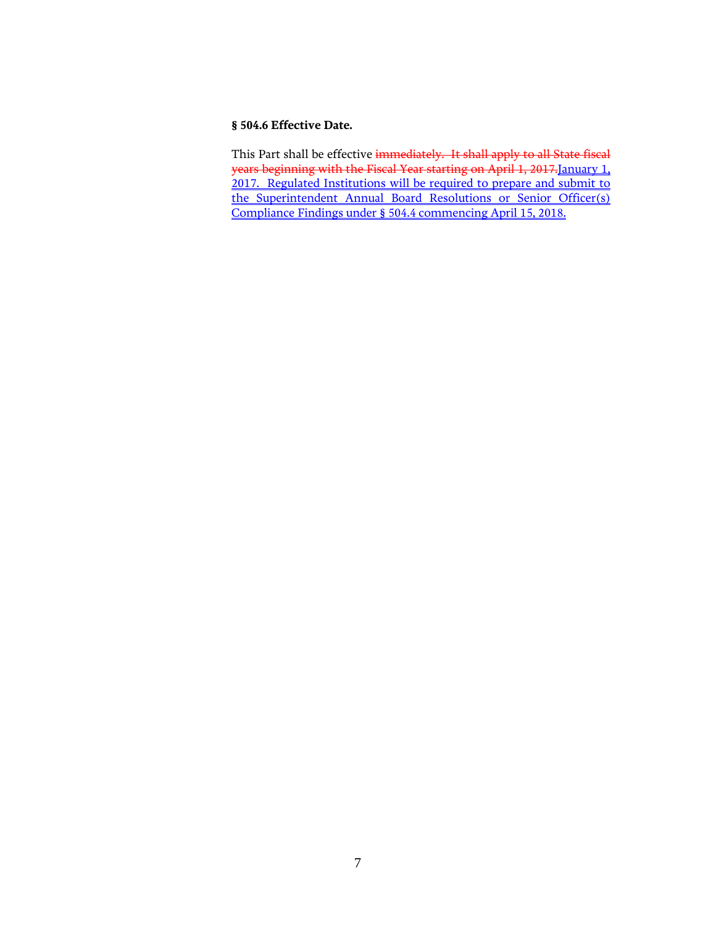## **§ 504.6 Effective Date.**

This Part shall be effective immediately. It shall apply to all State fiscal years beginning with the Fiscal Year starting on April 1, 2017.January 1, 2017. Regulated Institutions will be required to prepare and submit to the Superintendent Annual Board Resolutions or Senior Officer(s) Compliance Findings under § 504.4 commencing April 15, 2018.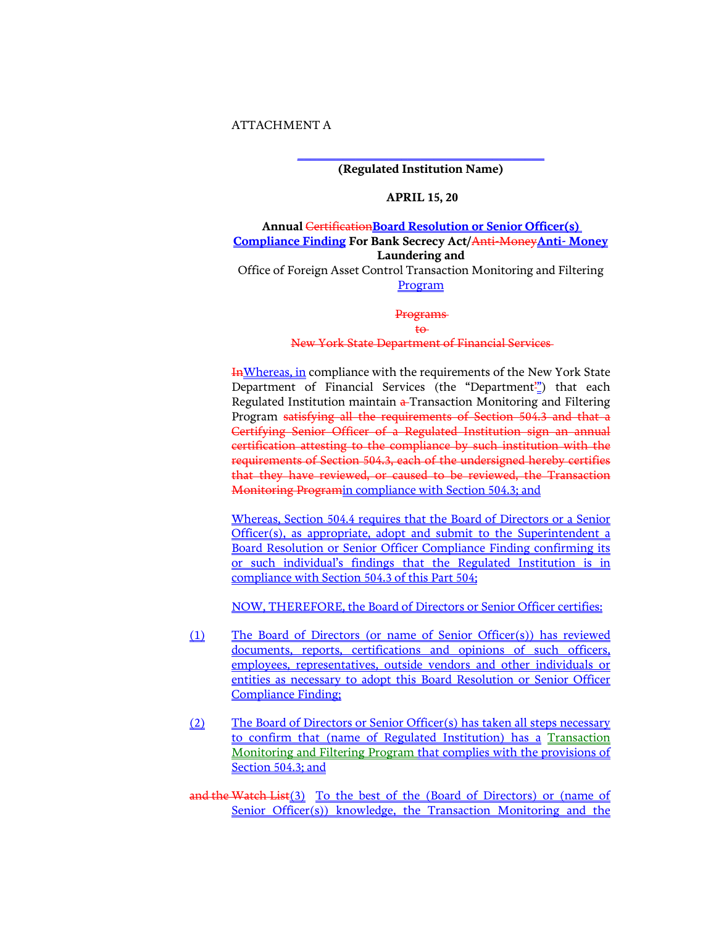## ATTACHMENT A

**\_\_\_\_\_\_\_\_\_\_\_\_\_\_\_\_\_\_\_\_\_\_\_\_\_\_\_\_\_\_\_\_\_\_\_\_\_\_ (Regulated Institution Name)**

### **APRIL 15, 20**

**Annual** Certification**Board Resolution or Senior Officer(s) Compliance Finding For Bank Secrecy Act/**Anti-Money**Anti- Money Laundering and**

Office of Foreign Asset Control Transaction Monitoring and Filtering Program

#### Programs

#### to

#### New York State Department of Financial Services

InWhereas, in compliance with the requirements of the New York State Department of Financial Services (the "Department") that each Regulated Institution maintain  $\frac{1}{r}$ Transaction Monitoring and Filtering Program satisfying all the requirements of Section 504.3 and that a Certifying Senior Officer of a Regulated Institution sign an annual certification attesting to the compliance by such institution with the requirements of Section 504.3, each of the undersigned hereby certifies that they have reviewed, or caused to be reviewed, the Transaction Monitoring Programin compliance with Section 504.3; and

Whereas, Section 504.4 requires that the Board of Directors or a Senior Officer(s), as appropriate, adopt and submit to the Superintendent a Board Resolution or Senior Officer Compliance Finding confirming its or such individual's findings that the Regulated Institution is in compliance with Section 504.3 of this Part 504;

NOW, THEREFORE, the Board of Directors or Senior Officer certifies:

- (1) The Board of Directors (or name of Senior Officer(s)) has reviewed documents, reports, certifications and opinions of such officers, employees, representatives, outside vendors and other individuals or entities as necessary to adopt this Board Resolution or Senior Officer Compliance Finding;
- (2) The Board of Directors or Senior Officer(s) has taken all steps necessary to confirm that (name of Regulated Institution) has a Transaction Monitoring and Filtering Program that complies with the provisions of Section 504.3; and

and the Watch List(3) To the best of the (Board of Directors) or (name of Senior Officer(s)) knowledge, the Transaction Monitoring and the